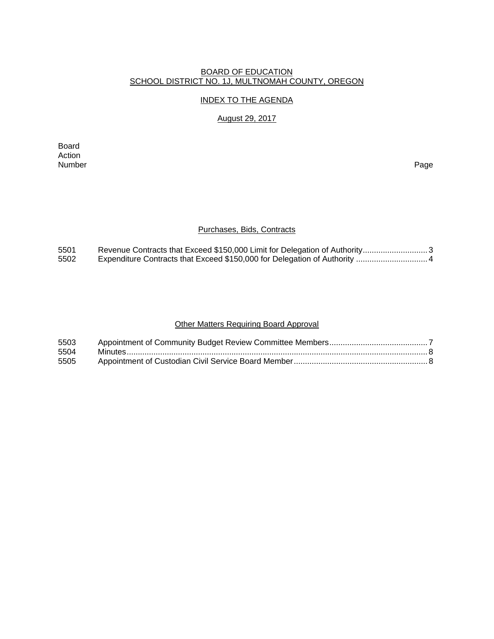#### BOARD OF EDUCATION SCHOOL DISTRICT NO. 1J, MULTNOMAH COUNTY, OREGON

## INDEX TO THE AGENDA

# August 29, 2017

Board Action<br>Number Number Page

### Purchases, Bids, Contracts

| 5501 | Revenue Contracts that Exceed \$150,000 Limit for Delegation of Authority3 |
|------|----------------------------------------------------------------------------|
| 5502 |                                                                            |

# **Other Matters Requiring Board Approval**

| 5503 |  |
|------|--|
| 5504 |  |
| 5505 |  |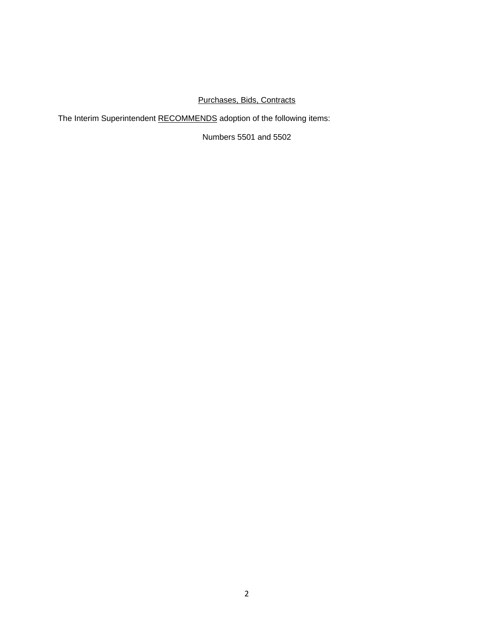# Purchases, Bids, Contracts

The Interim Superintendent RECOMMENDS adoption of the following items:

Numbers 5501 and 5502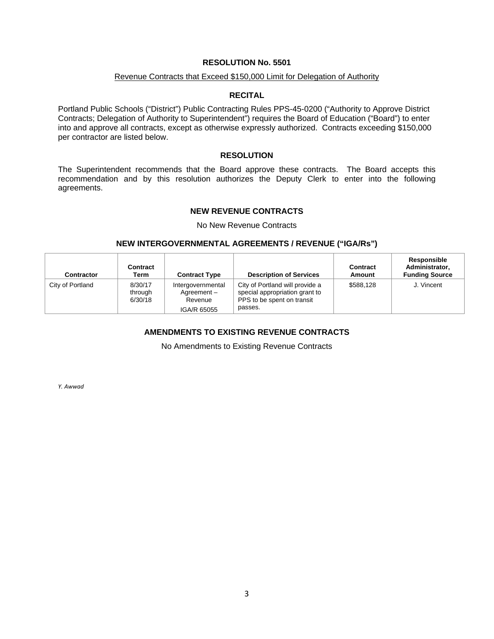### Revenue Contracts that Exceed \$150,000 Limit for Delegation of Authority

#### **RECITAL**

Portland Public Schools ("District") Public Contracting Rules PPS-45-0200 ("Authority to Approve District Contracts; Delegation of Authority to Superintendent") requires the Board of Education ("Board") to enter into and approve all contracts, except as otherwise expressly authorized. Contracts exceeding \$150,000 per contractor are listed below.

### **RESOLUTION**

The Superintendent recommends that the Board approve these contracts. The Board accepts this recommendation and by this resolution authorizes the Deputy Clerk to enter into the following agreements.

#### **NEW REVENUE CONTRACTS**

No New Revenue Contracts

#### **NEW INTERGOVERNMENTAL AGREEMENTS / REVENUE ("IGA/Rs")**

| Contractor       | Contract<br>Term              | <b>Contract Type</b>                                      | <b>Description of Services</b>                                                                             | Contract<br>Amount | Responsible<br>Administrator,<br><b>Funding Source</b> |
|------------------|-------------------------------|-----------------------------------------------------------|------------------------------------------------------------------------------------------------------------|--------------------|--------------------------------------------------------|
| City of Portland | 8/30/17<br>through<br>6/30/18 | Intergovernmental<br>Agreement-<br>Revenue<br>IGA/R 65055 | City of Portland will provide a<br>special appropriation grant to<br>PPS to be spent on transit<br>passes. | \$588.128          | J. Vincent                                             |

# **AMENDMENTS TO EXISTING REVENUE CONTRACTS**

No Amendments to Existing Revenue Contracts

*Y. Awwad*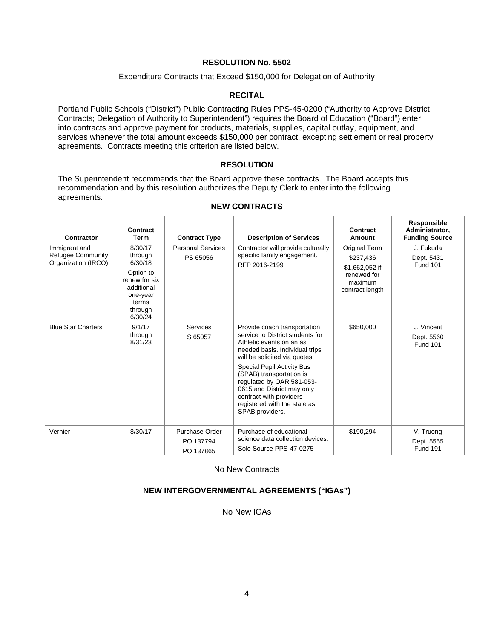### Expenditure Contracts that Exceed \$150,000 for Delegation of Authority

# **RECITAL**

Portland Public Schools ("District") Public Contracting Rules PPS-45-0200 ("Authority to Approve District Contracts; Delegation of Authority to Superintendent") requires the Board of Education ("Board") enter into contracts and approve payment for products, materials, supplies, capital outlay, equipment, and services whenever the total amount exceeds \$150,000 per contract, excepting settlement or real property agreements. Contracts meeting this criterion are listed below.

## **RESOLUTION**

The Superintendent recommends that the Board approve these contracts. The Board accepts this recommendation and by this resolution authorizes the Deputy Clerk to enter into the following agreements.

| <b>Contractor</b>                                                | Contract<br><b>Term</b>                                                                                              | <b>Contract Type</b>                     | <b>Description of Services</b>                                                                                                                                                                                                                                                                                                                                     | Contract<br>Amount                                                                        | Responsible<br>Administrator,<br><b>Funding Source</b> |
|------------------------------------------------------------------|----------------------------------------------------------------------------------------------------------------------|------------------------------------------|--------------------------------------------------------------------------------------------------------------------------------------------------------------------------------------------------------------------------------------------------------------------------------------------------------------------------------------------------------------------|-------------------------------------------------------------------------------------------|--------------------------------------------------------|
| Immigrant and<br><b>Refugee Community</b><br>Organization (IRCO) | 8/30/17<br>through<br>6/30/18<br>Option to<br>renew for six<br>additional<br>one-year<br>terms<br>through<br>6/30/24 | <b>Personal Services</b><br>PS 65056     | Contractor will provide culturally<br>specific family engagement.<br>RFP 2016-2199                                                                                                                                                                                                                                                                                 | Original Term<br>\$237,436<br>\$1,662,052 if<br>renewed for<br>maximum<br>contract length | J. Fukuda<br>Dept. 5431<br><b>Fund 101</b>             |
| <b>Blue Star Charters</b>                                        | 9/1/17<br>through<br>8/31/23                                                                                         | <b>Services</b><br>S 65057               | Provide coach transportation<br>service to District students for<br>Athletic events on an as<br>needed basis. Individual trips<br>will be solicited via quotes.<br>Special Pupil Activity Bus<br>(SPAB) transportation is<br>regulated by OAR 581-053-<br>0615 and District may only<br>contract with providers<br>registered with the state as<br>SPAB providers. | \$650,000                                                                                 | J. Vincent<br>Dept. 5560<br><b>Fund 101</b>            |
| Vernier                                                          | 8/30/17                                                                                                              | Purchase Order<br>PO 137794<br>PO 137865 | Purchase of educational<br>science data collection devices.<br>Sole Source PPS-47-0275                                                                                                                                                                                                                                                                             | \$190,294                                                                                 | V. Truong<br>Dept. 5555<br><b>Fund 191</b>             |

#### **NEW CONTRACTS**

No New Contracts

## **NEW INTERGOVERNMENTAL AGREEMENTS ("IGAs")**

No New IGAs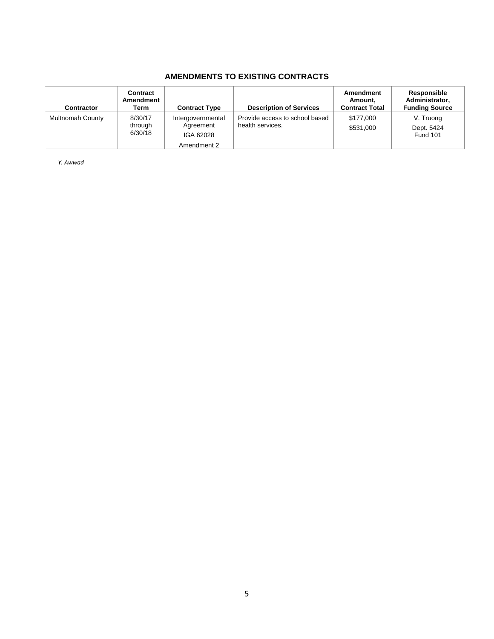# **AMENDMENTS TO EXISTING CONTRACTS**

| <b>Contractor</b>       | Contract<br>Amendment<br>Term | <b>Contract Type</b>                                       | <b>Description of Services</b>                     | Amendment<br>Amount,<br><b>Contract Total</b> | Responsible<br>Administrator,<br><b>Funding Source</b> |
|-------------------------|-------------------------------|------------------------------------------------------------|----------------------------------------------------|-----------------------------------------------|--------------------------------------------------------|
| <b>Multnomah County</b> | 8/30/17<br>through<br>6/30/18 | Intergovernmental<br>Agreement<br>IGA 62028<br>Amendment 2 | Provide access to school based<br>health services. | \$177,000<br>\$531,000                        | V. Truong<br>Dept. 5424<br><b>Fund 101</b>             |

*Y. Awwad*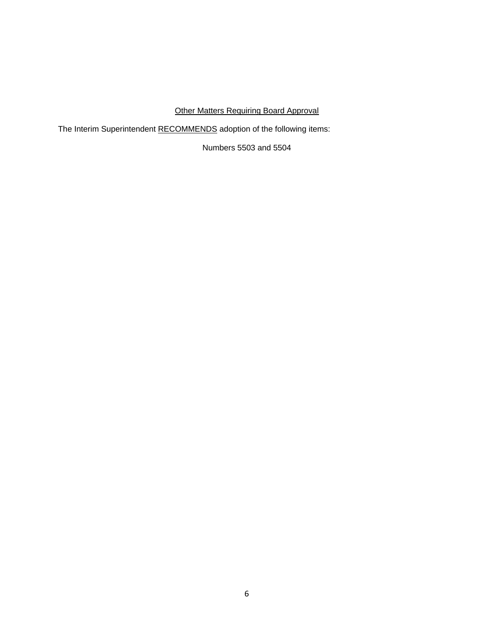# Other Matters Requiring Board Approval

The Interim Superintendent RECOMMENDS adoption of the following items:

Numbers 5503 and 5504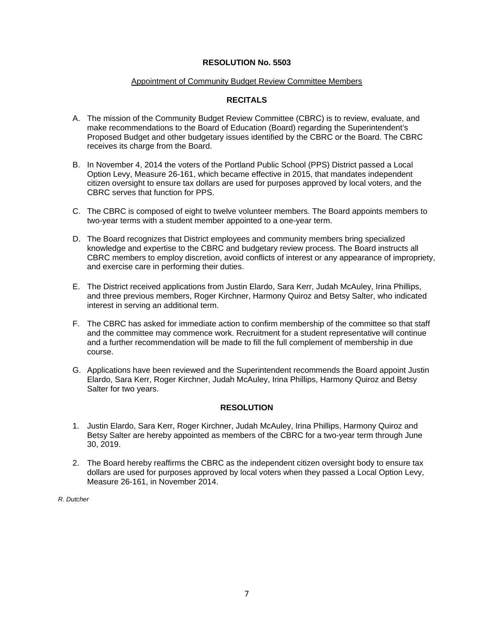#### Appointment of Community Budget Review Committee Members

# **RECITALS**

- A. The mission of the Community Budget Review Committee (CBRC) is to review, evaluate, and make recommendations to the Board of Education (Board) regarding the Superintendent's Proposed Budget and other budgetary issues identified by the CBRC or the Board. The CBRC receives its charge from the Board.
- B. In November 4, 2014 the voters of the Portland Public School (PPS) District passed a Local Option Levy, Measure 26-161, which became effective in 2015, that mandates independent citizen oversight to ensure tax dollars are used for purposes approved by local voters, and the CBRC serves that function for PPS.
- C. The CBRC is composed of eight to twelve volunteer members. The Board appoints members to two-year terms with a student member appointed to a one-year term.
- D. The Board recognizes that District employees and community members bring specialized knowledge and expertise to the CBRC and budgetary review process. The Board instructs all CBRC members to employ discretion, avoid conflicts of interest or any appearance of impropriety, and exercise care in performing their duties.
- E. The District received applications from Justin Elardo, Sara Kerr, Judah McAuley, Irina Phillips, and three previous members, Roger Kirchner, Harmony Quiroz and Betsy Salter, who indicated interest in serving an additional term.
- F. The CBRC has asked for immediate action to confirm membership of the committee so that staff and the committee may commence work. Recruitment for a student representative will continue and a further recommendation will be made to fill the full complement of membership in due course.
- G. Applications have been reviewed and the Superintendent recommends the Board appoint Justin Elardo, Sara Kerr, Roger Kirchner, Judah McAuley, Irina Phillips, Harmony Quiroz and Betsy Salter for two years.

## **RESOLUTION**

- 1. Justin Elardo, Sara Kerr, Roger Kirchner, Judah McAuley, Irina Phillips, Harmony Quiroz and Betsy Salter are hereby appointed as members of the CBRC for a two-year term through June 30, 2019.
- 2. The Board hereby reaffirms the CBRC as the independent citizen oversight body to ensure tax dollars are used for purposes approved by local voters when they passed a Local Option Levy, Measure 26-161, in November 2014.

*R. Dutcher*